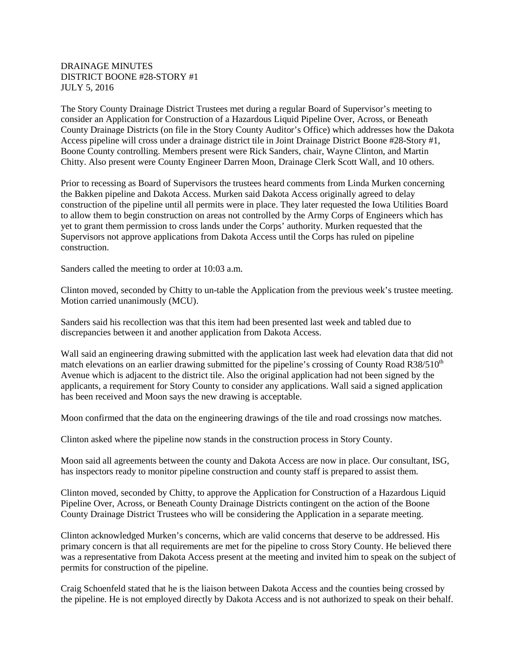## DRAINAGE MINUTES DISTRICT BOONE #28-STORY #1 JULY 5, 2016

The Story County Drainage District Trustees met during a regular Board of Supervisor's meeting to consider an Application for Construction of a Hazardous Liquid Pipeline Over, Across, or Beneath County Drainage Districts (on file in the Story County Auditor's Office) which addresses how the Dakota Access pipeline will cross under a drainage district tile in Joint Drainage District Boone #28-Story #1, Boone County controlling. Members present were Rick Sanders, chair, Wayne Clinton, and Martin Chitty. Also present were County Engineer Darren Moon, Drainage Clerk Scott Wall, and 10 others.

Prior to recessing as Board of Supervisors the trustees heard comments from Linda Murken concerning the Bakken pipeline and Dakota Access. Murken said Dakota Access originally agreed to delay construction of the pipeline until all permits were in place. They later requested the Iowa Utilities Board to allow them to begin construction on areas not controlled by the Army Corps of Engineers which has yet to grant them permission to cross lands under the Corps' authority. Murken requested that the Supervisors not approve applications from Dakota Access until the Corps has ruled on pipeline construction.

Sanders called the meeting to order at 10:03 a.m.

Clinton moved, seconded by Chitty to un-table the Application from the previous week's trustee meeting. Motion carried unanimously (MCU).

Sanders said his recollection was that this item had been presented last week and tabled due to discrepancies between it and another application from Dakota Access.

Wall said an engineering drawing submitted with the application last week had elevation data that did not match elevations on an earlier drawing submitted for the pipeline's crossing of County Road R38/510<sup>th</sup> Avenue which is adjacent to the district tile. Also the original application had not been signed by the applicants, a requirement for Story County to consider any applications. Wall said a signed application has been received and Moon says the new drawing is acceptable.

Moon confirmed that the data on the engineering drawings of the tile and road crossings now matches.

Clinton asked where the pipeline now stands in the construction process in Story County.

Moon said all agreements between the county and Dakota Access are now in place. Our consultant, ISG, has inspectors ready to monitor pipeline construction and county staff is prepared to assist them.

Clinton moved, seconded by Chitty, to approve the Application for Construction of a Hazardous Liquid Pipeline Over, Across, or Beneath County Drainage Districts contingent on the action of the Boone County Drainage District Trustees who will be considering the Application in a separate meeting.

Clinton acknowledged Murken's concerns, which are valid concerns that deserve to be addressed. His primary concern is that all requirements are met for the pipeline to cross Story County. He believed there was a representative from Dakota Access present at the meeting and invited him to speak on the subject of permits for construction of the pipeline.

Craig Schoenfeld stated that he is the liaison between Dakota Access and the counties being crossed by the pipeline. He is not employed directly by Dakota Access and is not authorized to speak on their behalf.